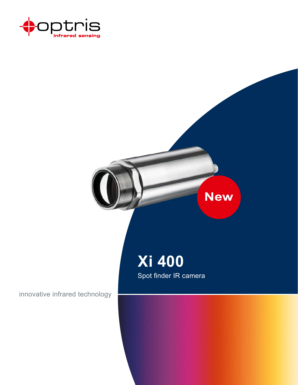



innovative infrared technology